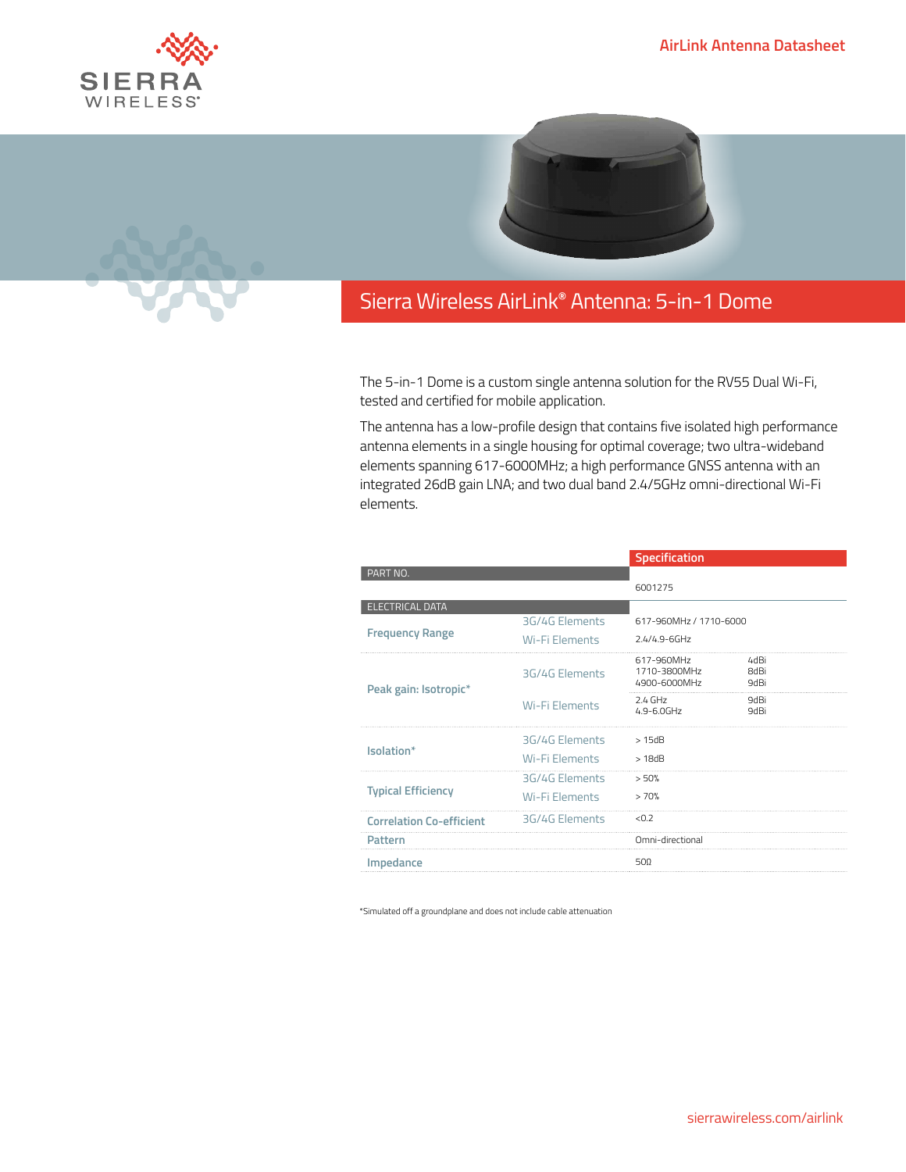



## Sierra Wireless **EMBEDDED MODULES HL SERIES** AirLink**®** Antenna: 5-in-1 Dome

The 5-in-1 Dome is a custom single antenna solution for the RV55 Dual Wi-Fi, tested and certified for mobile application.

The antenna has a low-profile design that contains five isolated high performance antenna elements in a single housing for optimal coverage; two ultra-wideband elements spanning 617-6000MHz; a high performance GNSS antenna with an integrated 26dB gain LNA; and two dual band 2.4/5GHz omni-directional Wi-Fi elements.

|                                                  |                                  | Specification                               |                                    |
|--------------------------------------------------|----------------------------------|---------------------------------------------|------------------------------------|
| PART NO.                                         |                                  | 6001275                                     |                                    |
|                                                  |                                  |                                             |                                    |
| <b>ELECTRICAL DATA</b><br><b>Frequency Range</b> | 3G/4G Elements<br>Wi-Fi Elements | 617-960MHz / 1710-6000<br>$2.4/4.9 - 6$ GHz |                                    |
| Peak gain: Isotropic*                            | 3G/4G Elements                   | 617-960MHz<br>1710-3800MHz<br>4900-6000MHz  | 4dBi<br><b>8dBi</b><br><b>9dBi</b> |
|                                                  | <b>Wi-Fi Elements</b>            | $2.4$ GHz<br>$4.9 - 6.0$ GHz                | 9dBi<br><b>9dBi</b>                |
| Isolation*                                       | 3G/4G Elements                   | >15dB                                       |                                    |
|                                                  | <b>Wi-Fi Elements</b>            | >18dB                                       |                                    |
| <b>Typical Efficiency</b>                        | 3G/4G Elements<br>Wi-Fi Elements | > 50%<br>>70%                               |                                    |
| <b>Correlation Co-efficient</b>                  | 3G/4G Elements                   | < 0.2                                       |                                    |
| Pattern                                          |                                  | Omni-directional                            |                                    |
| Impedance                                        |                                  | 500                                         |                                    |
|                                                  |                                  |                                             |                                    |

\*Simulated off a groundplane and does not include cable attenuation